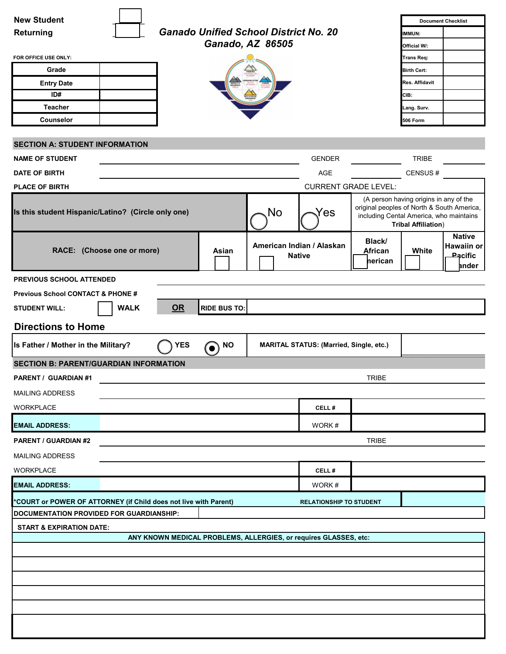| <b>New Student</b>                                               |                                                                  |                                            |                                                |                                                                                       |                                                                      | <b>Document Checklist</b>                              |  |  |
|------------------------------------------------------------------|------------------------------------------------------------------|--------------------------------------------|------------------------------------------------|---------------------------------------------------------------------------------------|----------------------------------------------------------------------|--------------------------------------------------------|--|--|
| Returning                                                        | <b>Ganado Unified School District No. 20</b>                     |                                            |                                                |                                                                                       | IMMUN:                                                               |                                                        |  |  |
|                                                                  | Ganado, AZ 86505                                                 |                                            |                                                |                                                                                       | Official W/:                                                         |                                                        |  |  |
| FOR OFFICE USE ONLY:                                             |                                                                  |                                            |                                                |                                                                                       | Trans Req:                                                           |                                                        |  |  |
| Grade                                                            |                                                                  |                                            |                                                |                                                                                       | <b>Birth Cert:</b>                                                   |                                                        |  |  |
| <b>Entry Date</b>                                                |                                                                  |                                            |                                                |                                                                                       | Res. Affidavit                                                       |                                                        |  |  |
| ID#                                                              |                                                                  |                                            |                                                |                                                                                       | CIB:                                                                 |                                                        |  |  |
| <b>Teacher</b>                                                   |                                                                  |                                            |                                                |                                                                                       | Lang. Surv.                                                          |                                                        |  |  |
| Counselor                                                        |                                                                  |                                            |                                                |                                                                                       | 506 Form                                                             |                                                        |  |  |
|                                                                  |                                                                  |                                            |                                                |                                                                                       |                                                                      |                                                        |  |  |
| <b>SECTION A: STUDENT INFORMATION</b>                            |                                                                  |                                            |                                                |                                                                                       |                                                                      |                                                        |  |  |
| <b>NAME OF STUDENT</b>                                           |                                                                  |                                            | <b>GENDER</b>                                  |                                                                                       | <b>TRIBE</b>                                                         |                                                        |  |  |
| DATE OF BIRTH                                                    |                                                                  |                                            | <b>AGE</b>                                     |                                                                                       | CENSUS#                                                              |                                                        |  |  |
| <b>PLACE OF BIRTH</b>                                            |                                                                  |                                            | <b>CURRENT GRADE LEVEL:</b>                    |                                                                                       |                                                                      |                                                        |  |  |
| No<br>Is this student Hispanic/Latino? (Circle only one)<br>Yes  |                                                                  |                                            |                                                | original peoples of North & South America,<br>including Cental America, who maintains | (A person having origins in any of the<br><b>Tribal Affiliation)</b> |                                                        |  |  |
| RACE: (Choose one or more)                                       | Asian                                                            | American Indian / Alaskan<br><b>Native</b> |                                                | Black/<br>African<br>herican                                                          | White                                                                | <b>Native</b><br>Hawaiin or<br><b>Pacific</b><br>ander |  |  |
| <b>PREVIOUS SCHOOL ATTENDED</b>                                  |                                                                  |                                            |                                                |                                                                                       |                                                                      |                                                        |  |  |
| <b>Previous School CONTACT &amp; PHONE #</b>                     |                                                                  |                                            |                                                |                                                                                       |                                                                      |                                                        |  |  |
| <b>WALK</b>                                                      | OR<br><b>RIDE BUS TO:</b>                                        |                                            |                                                |                                                                                       |                                                                      |                                                        |  |  |
| <b>STUDENT WILL:</b>                                             |                                                                  |                                            |                                                |                                                                                       |                                                                      |                                                        |  |  |
| <b>Directions to Home</b>                                        |                                                                  |                                            |                                                |                                                                                       |                                                                      |                                                        |  |  |
|                                                                  |                                                                  |                                            |                                                |                                                                                       |                                                                      |                                                        |  |  |
| Is Father / Mother in the Military?                              | <b>YES</b><br><b>NO</b><br>$\bullet)$                            |                                            | <b>MARITAL STATUS: (Married, Single, etc.)</b> |                                                                                       |                                                                      |                                                        |  |  |
| <b>SECTION B: PARENT/GUARDIAN INFORMATION</b>                    |                                                                  |                                            |                                                |                                                                                       |                                                                      |                                                        |  |  |
| PARENT / GUARDIAN #1                                             |                                                                  |                                            |                                                | <b>TRIBE</b>                                                                          |                                                                      |                                                        |  |  |
| <b>MAILING ADDRESS</b>                                           |                                                                  |                                            |                                                |                                                                                       |                                                                      |                                                        |  |  |
| <b>WORKPLACE</b>                                                 |                                                                  |                                            | CELL#                                          |                                                                                       |                                                                      |                                                        |  |  |
| <b>EMAIL ADDRESS:</b>                                            |                                                                  |                                            | WORK#                                          |                                                                                       |                                                                      |                                                        |  |  |
| <b>PARENT / GUARDIAN #2</b>                                      |                                                                  |                                            |                                                | <b>TRIBE</b>                                                                          |                                                                      |                                                        |  |  |
| <b>MAILING ADDRESS</b>                                           |                                                                  |                                            |                                                |                                                                                       |                                                                      |                                                        |  |  |
| <b>WORKPLACE</b>                                                 |                                                                  |                                            | CELL#                                          |                                                                                       |                                                                      |                                                        |  |  |
| <b>EMAIL ADDRESS:</b>                                            |                                                                  |                                            | WORK#                                          |                                                                                       |                                                                      |                                                        |  |  |
| *COURT or POWER OF ATTORNEY (if Child does not live with Parent) |                                                                  |                                            | <b>RELATIONSHIP TO STUDENT</b>                 |                                                                                       |                                                                      |                                                        |  |  |
| DOCUMENTATION PROVIDED FOR GUARDIANSHIP:                         |                                                                  |                                            |                                                |                                                                                       |                                                                      |                                                        |  |  |
| <b>START &amp; EXPIRATION DATE:</b>                              |                                                                  |                                            |                                                |                                                                                       |                                                                      |                                                        |  |  |
|                                                                  | ANY KNOWN MEDICAL PROBLEMS, ALLERGIES, or requires GLASSES, etc: |                                            |                                                |                                                                                       |                                                                      |                                                        |  |  |
|                                                                  |                                                                  |                                            |                                                |                                                                                       |                                                                      |                                                        |  |  |
|                                                                  |                                                                  |                                            |                                                |                                                                                       |                                                                      |                                                        |  |  |
|                                                                  |                                                                  |                                            |                                                |                                                                                       |                                                                      |                                                        |  |  |
|                                                                  |                                                                  |                                            |                                                |                                                                                       |                                                                      |                                                        |  |  |
|                                                                  |                                                                  |                                            |                                                |                                                                                       |                                                                      |                                                        |  |  |
|                                                                  |                                                                  |                                            |                                                |                                                                                       |                                                                      |                                                        |  |  |